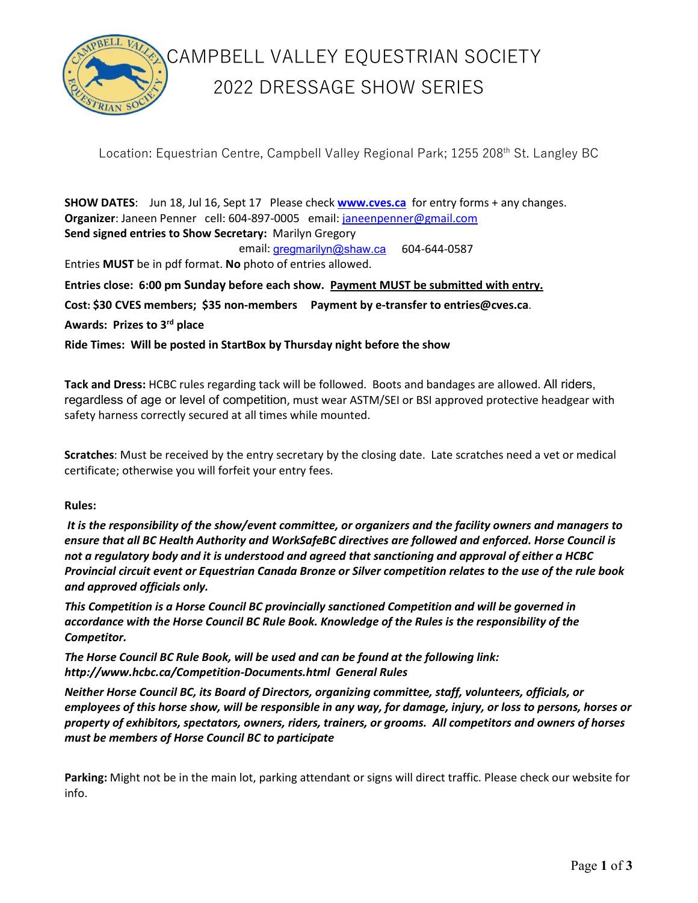

## CAMPBELL VALLEY EQUESTRIAN SOCIETY 2022 DRESSAGE SHOW SERIES

Location: Equestrian Centre, Campbell Valley Regional Park; 1255 208<sup>th</sup> St. Langley BC

**SHOW DATES**: Jun 18, Jul 16, Sept 17 Please check **[www.cves.ca](http://www.cves.ca/)** for entry forms + any changes. **Organizer**: Janeen Penner cell: 604-897-0005 email: [janeenpenner@gmail.com](mailto:janeenpenner@gmail.com)  **Send signed entries to Show Secretary:** Marilyn Gregory email: [gregmarilyn@shaw.ca](mailto:gregmarilyn@shaw.ca) 604-644-0587

Entries **MUST** be in pdf format. **No** photo of entries allowed.

**Entries close: 6:00 pm Sunday before each show. Payment MUST be submitted with entry.**

**Cost: \$30 CVES members; \$35 non-members Payment by e-transfer to entries@cves.ca**.

**Awards: Prizes to 3rd place** 

**Ride Times: Will be posted in StartBox by Thursday night before the show** 

**Tack and Dress:** HCBC rules regarding tack will be followed. Boots and bandages are allowed. All riders, regardless of age or level of competition, must wear ASTM/SEI or BSI approved protective headgear with safety harness correctly secured at all times while mounted.

**Scratches**: Must be received by the entry secretary by the closing date. Late scratches need a vet or medical certificate; otherwise you will forfeit your entry fees.

#### **Rules:**

*It is the responsibility of the show/event committee, or organizers and the facility owners and managers to ensure that all BC Health Authority and WorkSafeBC directives are followed and enforced. Horse Council is not a regulatory body and it is understood and agreed that sanctioning and approval of either a HCBC Provincial circuit event or Equestrian Canada Bronze or Silver competition relates to the use of the rule book and approved officials only.*

*This Competition is a Horse Council BC provincially sanctioned Competition and will be governed in accordance with the Horse Council BC Rule Book. Knowledge of the Rules is the responsibility of the Competitor.* 

*The Horse Council BC Rule Book, will be used and can be found at the following link: <http://www.hcbc.ca/Competition-Documents.html>General Rules*

*Neither Horse Council BC, its Board of Directors, organizing committee, staff, volunteers, officials, or employees of this horse show, will be responsible in any way, for damage, injury, or loss to persons, horses or property of exhibitors, spectators, owners, riders, trainers, or grooms. All competitors and owners of horses must be members of Horse Council BC to participate*

**Parking:** Might not be in the main lot, parking attendant or signs will direct traffic. Please check our website for info.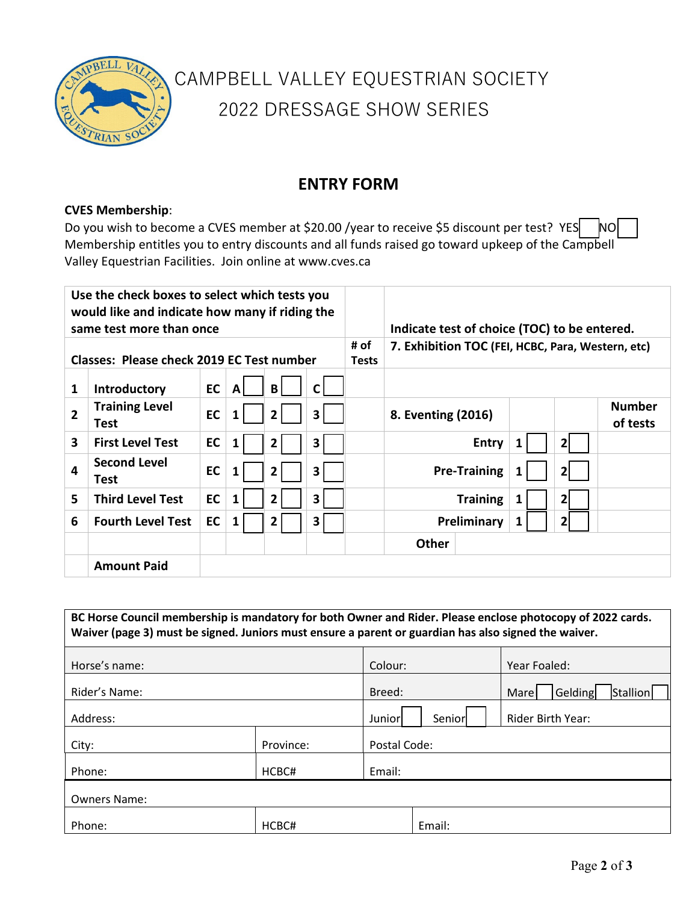

# CAMPBELL VALLEY EQUESTRIAN SOCIETY 2022 DRESSAGE SHOW SERIES

## **ENTRY FORM**

### **CVES Membership**:

Do you wish to become a CVES member at \$20.00 /year to receive \$5 discount per test? YES NO Membership entitles you to entry discounts and all funds raised go toward upkeep of the Campbell Valley Equestrian Facilities. Join online at www.cves.ca

| Use the check boxes to select which tests you<br>would like and indicate how many if riding the<br>same test more than once |                                      |    |   |                      | Indicate test of choice (TOC) to be entered.      |  |                     |              |   |              |                           |
|-----------------------------------------------------------------------------------------------------------------------------|--------------------------------------|----|---|----------------------|---------------------------------------------------|--|---------------------|--------------|---|--------------|---------------------------|
| <b>Classes: Please check 2019 EC Test number</b>                                                                            |                                      |    |   | # of<br><b>Tests</b> | 7. Exhibition TOC (FEI, HCBC, Para, Western, etc) |  |                     |              |   |              |                           |
| 1                                                                                                                           | Introductory                         | EC | A | B                    | $\mathsf{C}$                                      |  |                     |              |   |              |                           |
| $\overline{2}$                                                                                                              | <b>Training Level</b><br><b>Test</b> | EC |   | $\mathbf{2}$         | 3                                                 |  | 8. Eventing (2016)  |              |   |              | <b>Number</b><br>of tests |
| 3                                                                                                                           | <b>First Level Test</b>              | EC | 1 | 2                    | 3                                                 |  |                     | <b>Entry</b> | 1 | $\mathbf{2}$ |                           |
| 4                                                                                                                           | <b>Second Level</b><br><b>Test</b>   | EC |   | 2                    | 3                                                 |  | <b>Pre-Training</b> |              |   | 21           |                           |
| 5                                                                                                                           | <b>Third Level Test</b>              | EC | 1 | $\overline{2}$       | 3                                                 |  | <b>Training</b>     |              | 1 | 2            |                           |
| 6                                                                                                                           | <b>Fourth Level Test</b>             | EC | 1 | 2                    | 3                                                 |  | Preliminary         |              | 1 | 2            |                           |
|                                                                                                                             |                                      |    |   |                      |                                                   |  | <b>Other</b>        |              |   |              |                           |
|                                                                                                                             | <b>Amount Paid</b>                   |    |   |                      |                                                   |  |                     |              |   |              |                           |

| BC Horse Council membership is mandatory for both Owner and Rider. Please enclose photocopy of 2022 cards.<br>Waiver (page 3) must be signed. Juniors must ensure a parent or guardian has also signed the waiver. |           |               |                   |                             |  |  |  |  |
|--------------------------------------------------------------------------------------------------------------------------------------------------------------------------------------------------------------------|-----------|---------------|-------------------|-----------------------------|--|--|--|--|
| Horse's name:                                                                                                                                                                                                      |           |               |                   | Year Foaled:                |  |  |  |  |
| Rider's Name:                                                                                                                                                                                                      |           |               |                   | Gelding<br>Stallion<br>Mare |  |  |  |  |
| Address:                                                                                                                                                                                                           | Juniorl   | <b>Senior</b> | Rider Birth Year: |                             |  |  |  |  |
| City:                                                                                                                                                                                                              | Province: | Postal Code:  |                   |                             |  |  |  |  |
| Phone:                                                                                                                                                                                                             | HCBC#     | Email:        |                   |                             |  |  |  |  |
| <b>Owners Name:</b>                                                                                                                                                                                                |           |               |                   |                             |  |  |  |  |
| Phone:                                                                                                                                                                                                             | HCBC#     |               | Email:            |                             |  |  |  |  |